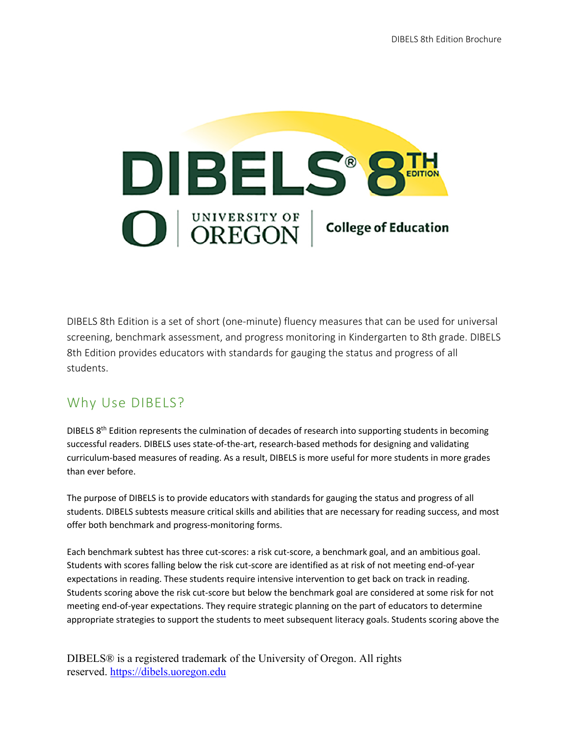

DIBELS 8th Edition is a set of short (one-minute) fluency measures that can be used for universal screening, benchmark assessment, and progress monitoring in Kindergarten to 8th grade. DIBELS 8th Edition provides educators with standards for gauging the status and progress of all students.

# Why Use DIBELS?

DIBELS  $8<sup>th</sup>$  Edition represents the culmination of decades of research into supporting students in becoming successful readers. DIBELS uses state-of-the-art, research-based methods for designing and validating curriculum-based measures of reading. As a result, DIBELS is more useful for more students in more grades than ever before.

The purpose of DIBELS is to provide educators with standards for gauging the status and progress of all students. DIBELS subtests measure critical skills and abilities that are necessary for reading success, and most offer both benchmark and progress-monitoring forms.

Each benchmark subtest has three cut-scores: a risk cut-score, a benchmark goal, and an ambitious goal. Students with scores falling below the risk cut-score are identified as at risk of not meeting end-of-year expectations in reading. These students require intensive intervention to get back on track in reading. Students scoring above the risk cut-score but below the benchmark goal are considered at some risk for not meeting end-of-year expectations. They require strategic planning on the part of educators to determine appropriate strategies to support the students to meet subsequent literacy goals. Students scoring above the

DIBELS® is a registered trademark of the University of Oregon. All rights reserved. https://dibels.uoregon.edu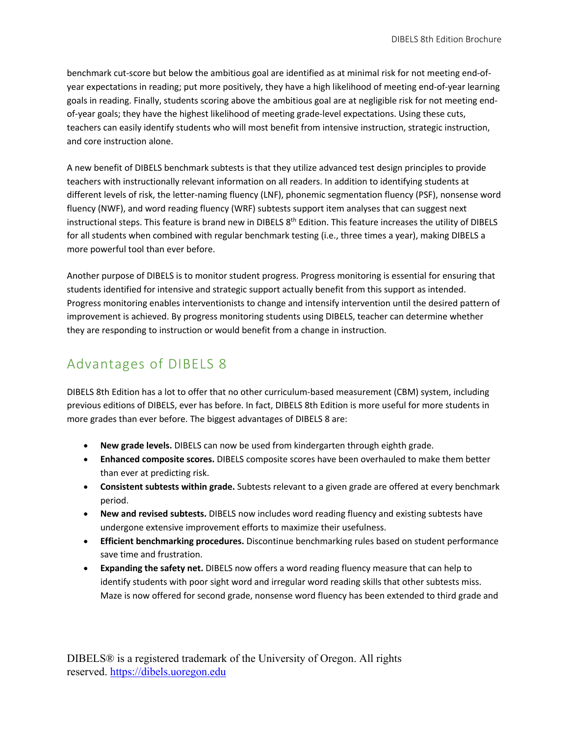benchmark cut-score but below the ambitious goal are identified as at minimal risk for not meeting end-ofyear expectations in reading; put more positively, they have a high likelihood of meeting end-of-year learning goals in reading. Finally, students scoring above the ambitious goal are at negligible risk for not meeting endof-year goals; they have the highest likelihood of meeting grade-level expectations. Using these cuts, teachers can easily identify students who will most benefit from intensive instruction, strategic instruction, and core instruction alone.

A new benefit of DIBELS benchmark subtests is that they utilize advanced test design principles to provide teachers with instructionally relevant information on all readers. In addition to identifying students at different levels of risk, the letter-naming fluency (LNF), phonemic segmentation fluency (PSF), nonsense word fluency (NWF), and word reading fluency (WRF) subtests support item analyses that can suggest next instructional steps. This feature is brand new in DIBELS 8<sup>th</sup> Edition. This feature increases the utility of DIBELS for all students when combined with regular benchmark testing (i.e., three times a year), making DIBELS a more powerful tool than ever before.

Another purpose of DIBELS is to monitor student progress. Progress monitoring is essential for ensuring that students identified for intensive and strategic support actually benefit from this support as intended. Progress monitoring enables interventionists to change and intensify intervention until the desired pattern of improvement is achieved. By progress monitoring students using DIBELS, teacher can determine whether they are responding to instruction or would benefit from a change in instruction.

## Advantages of DIBELS 8

DIBELS 8th Edition has a lot to offer that no other curriculum-based measurement (CBM) system, including previous editions of DIBELS, ever has before. In fact, DIBELS 8th Edition is more useful for more students in more grades than ever before. The biggest advantages of DIBELS 8 are:

- **New grade levels.** DIBELS can now be used from kindergarten through eighth grade.
- **Enhanced composite scores.** DIBELS composite scores have been overhauled to make them better than ever at predicting risk.
- **Consistent subtests within grade.** Subtests relevant to a given grade are offered at every benchmark period.
- **New and revised subtests.** DIBELS now includes word reading fluency and existing subtests have undergone extensive improvement efforts to maximize their usefulness.
- **Efficient benchmarking procedures.** Discontinue benchmarking rules based on student performance save time and frustration.
- **Expanding the safety net.** DIBELS now offers a word reading fluency measure that can help to identify students with poor sight word and irregular word reading skills that other subtests miss. Maze is now offered for second grade, nonsense word fluency has been extended to third grade and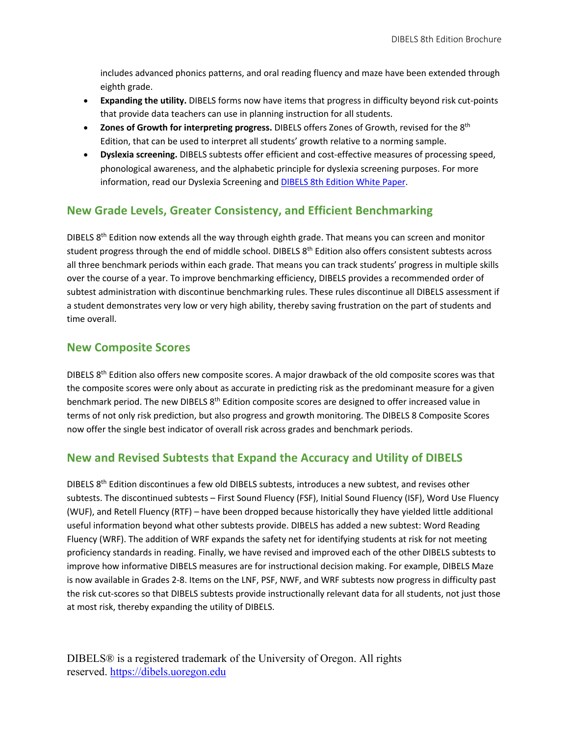includes advanced phonics patterns, and oral reading fluency and maze have been extended through eighth grade.

- **Expanding the utility.** DIBELS forms now have items that progress in difficulty beyond risk cut-points that provide data teachers can use in planning instruction for all students.
- **Zones of Growth for interpreting progress.** DIBELS offers Zones of Growth, revised for the 8th Edition, that can be used to interpret all students' growth relative to a norming sample.
- **Dyslexia screening.** DIBELS subtests offer efficient and cost-effective measures of processing speed, phonological awareness, and the alphabetic principle for dyslexia screening purposes. For more information, read our Dyslexia Screening and DIBELS 8th Edition White Paper.

#### **New Grade Levels, Greater Consistency, and Efficient Benchmarking**

DIBELS  $8<sup>th</sup>$  Edition now extends all the way through eighth grade. That means you can screen and monitor student progress through the end of middle school. DIBELS 8<sup>th</sup> Edition also offers consistent subtests across all three benchmark periods within each grade. That means you can track students' progress in multiple skills over the course of a year. To improve benchmarking efficiency, DIBELS provides a recommended order of subtest administration with discontinue benchmarking rules. These rules discontinue all DIBELS assessment if a student demonstrates very low or very high ability, thereby saving frustration on the part of students and time overall.

#### **New Composite Scores**

DIBELS  $8<sup>th</sup>$  Edition also offers new composite scores. A major drawback of the old composite scores was that the composite scores were only about as accurate in predicting risk as the predominant measure for a given benchmark period. The new DIBELS 8<sup>th</sup> Edition composite scores are designed to offer increased value in terms of not only risk prediction, but also progress and growth monitoring. The DIBELS 8 Composite Scores now offer the single best indicator of overall risk across grades and benchmark periods.

#### **New and Revised Subtests that Expand the Accuracy and Utility of DIBELS**

DIBELS 8<sup>th</sup> Edition discontinues a few old DIBELS subtests, introduces a new subtest, and revises other subtests. The discontinued subtests – First Sound Fluency (FSF), Initial Sound Fluency (ISF), Word Use Fluency (WUF), and Retell Fluency (RTF) – have been dropped because historically they have yielded little additional useful information beyond what other subtests provide. DIBELS has added a new subtest: Word Reading Fluency (WRF). The addition of WRF expands the safety net for identifying students at risk for not meeting proficiency standards in reading. Finally, we have revised and improved each of the other DIBELS subtests to improve how informative DIBELS measures are for instructional decision making. For example, DIBELS Maze is now available in Grades 2-8. Items on the LNF, PSF, NWF, and WRF subtests now progress in difficulty past the risk cut-scores so that DIBELS subtests provide instructionally relevant data for all students, not just those at most risk, thereby expanding the utility of DIBELS.

DIBELS® is a registered trademark of the University of Oregon. All rights reserved. https://dibels.uoregon.edu